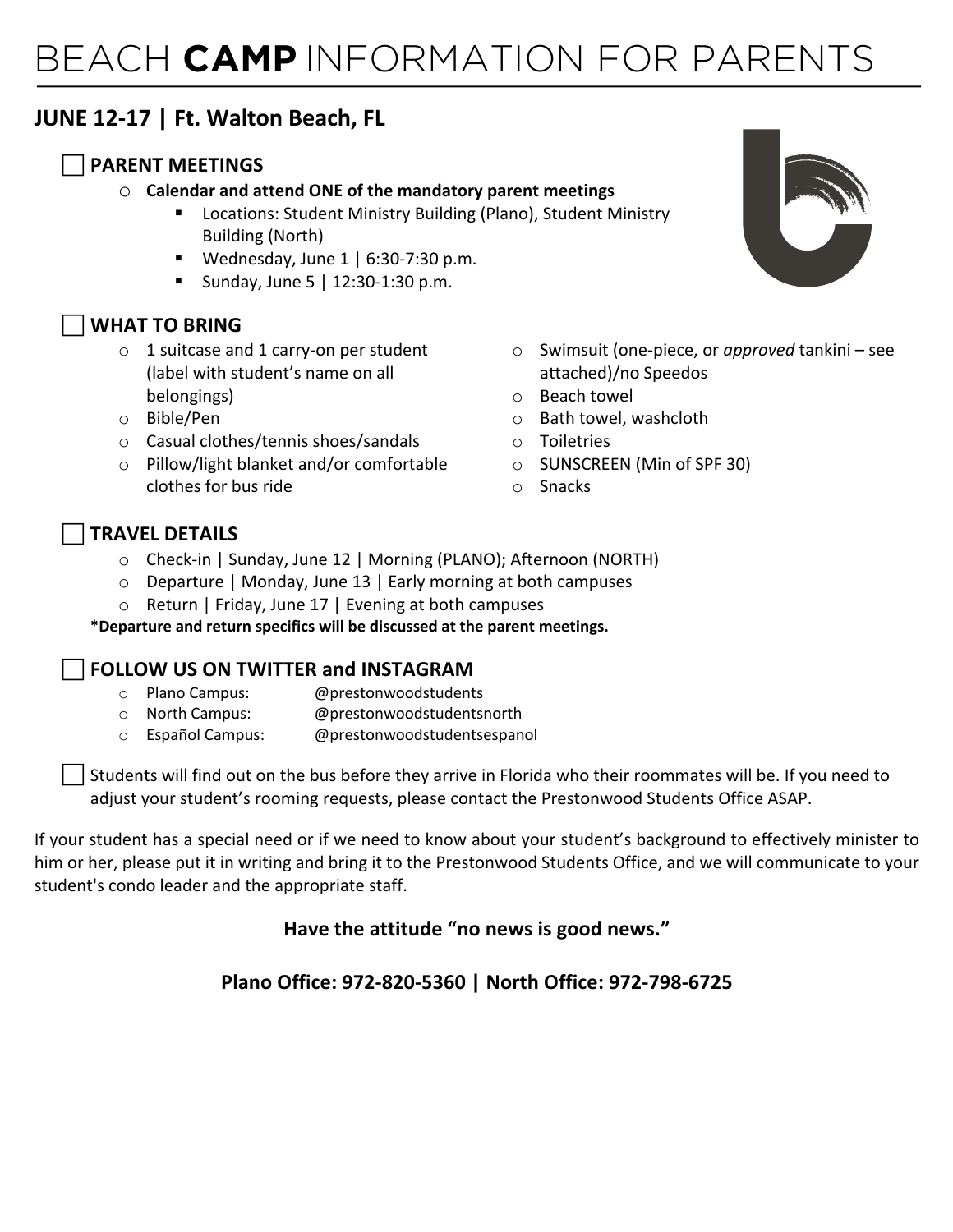# BEACH **CAMP** INFORMATION FOR PARENTS

# **JUNE 12-17 | Ft. Walton Beach, FL**

### c **PARENT MEETINGS**

#### o **Calendar and attend ONE of the mandatory parent meetings**

- Locations: Student Ministry Building (Plano), Student Ministry Building (North)
- **•** Wednesday, June  $1 \mid 6:30-7:30 \text{ p.m.}$
- Sunday, June 5 | 12:30-1:30 p.m.

# c **WHAT TO BRING**

- $\circ$  1 suitcase and 1 carry-on per student (label with student's name on all belongings)
- o Bible/Pen
- o Casual clothes/tennis shoes/sandals
- o Pillow/light blanket and/or comfortable clothes for bus ride



- o Swimsuit (one-piece, or *approved* tankini see attached)/no Speedos
- o Beach towel
- o Bath towel, washcloth
- o Toiletries
- o SUNSCREEN (Min of SPF 30)
- o Snacks

#### c **TRAVEL DETAILS**

- o Check-in | Sunday, June 12 | Morning (PLANO); Afternoon (NORTH)
- o Departure | Monday, June 13 | Early morning at both campuses
- o Return | Friday, June 17 | Evening at both campuses

**\*Departure and return specifics will be discussed at the parent meetings.** 

#### c **FOLLOW US ON TWITTER and INSTAGRAM**

- o Plano Campus: @prestonwoodstudents
- o North Campus: @prestonwoodstudentsnorth
- o Español Campus: @prestonwoodstudentsespanol

Students will find out on the bus before they arrive in Florida who their roommates will be. If you need to adjust your student's rooming requests, please contact the Prestonwood Students Office ASAP.

If your student has a special need or if we need to know about your student's background to effectively minister to him or her, please put it in writing and bring it to the Prestonwood Students Office, and we will communicate to your student's condo leader and the appropriate staff.

# **Have the attitude "no news is good news."**

# **Plano Office: 972-820-5360 | North Office: 972-798-6725**